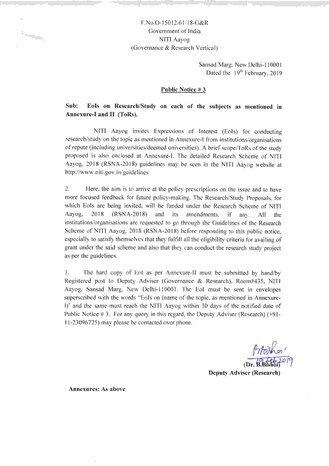# F.No.O-15012/61/18-G&R Government of India NITI Aayog (Governance & Research Vertical)

Sansad Marg, New Delhi-l10001 Dated the 19<sup>th</sup> February, 2019

## Public Notice # 3

## sub: BoIs on Research/Study on each of the subjects as mentioned in Annexure-I and II (ToRs).

NITI Aayog invites Expressions of Interest (Eols) for conducting research/study on the topic as mentioned in Annexure-l from institutions/organisations of repute (including universities/deemed universities). A brief scope/ToRs of the study proposed is also enclosed at Annexure-I. The detailed Research Scheme of NITI Aayog,2018 (RSNA-2018) guidelines may be seen in the NITI Aayog website at http://www.niti.gov.in/guidelines

2. Here, the aim is to arrive at the policy prescriptions on the issue and to have more focused feedback for future policy-making. The Research/Study Proposals, for which Eols are being invited, will be funded under the Research Scheme of NITI Aayog, 2018 (RSNA-2O18) and its amendments, if any. All the institutions/organisations are requested to go through the Guidelines of the Research Scheme of NITI Aayog, 2018 (RSNA-2018) before responding to this public notice, especially to satisfy themselves that they fulfill all the eligibility criteria for availing of grant under the said scheme and also that they can conduct the research study project as per the guidelines.

3. The hard copy of Eol as per Annexure-ll must be submitted by hand/by Registered post to Deputy Adviser (Governance & Research), Room#435, NITI Aayog, Sansad Marg, New Delhi-110001. The Eol must be sent in envelopes superscribed with the words "Eols on (name of the topic, as mentioned in Annexure-I)' and the same must reach the NITI Aayog within 30 days of the notified date of Public Notice # 3. For any query in this regard, the Deputy Adviser (Research) (+91 ll-23096725) may please be contacted over phone.

 $f$  $f$  $\phi$ in  $\alpha'$ <br>(Dr.  $B$ Bishoi $f^{\alpha\beta}$ 

Deputy Adviser (Research)

Annexures: As above

 $\mathbf{P}_{\text{intra}_{\text{max}}}$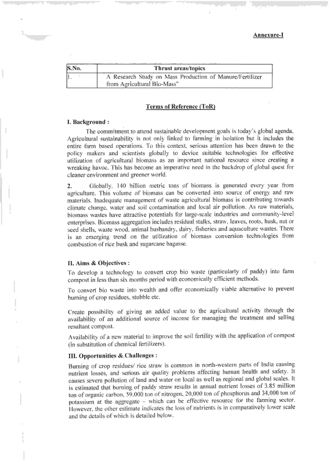| S.No.<br>Thrust areas/topics. |                                                                                         |  |  |  |
|-------------------------------|-----------------------------------------------------------------------------------------|--|--|--|
|                               | A Research Study on Mass Production of Manure/Fertilizer<br>from Agricultural Bio-Mass" |  |  |  |

## Terms of Reference (ToR)

#### I. Background :

The commitment to attend sustainable development goals is today's global agenda. Agricultural sustainability is not only linked to farming in isolation but it includes the entire farm based operations. To this context, serious attention has been drawn to the policy makers and scientists globally to device suitable technologies for effective utilization of agricultural biomass as an important national resource since creating <sup>a</sup> wreaking havoc. This has become an imperative need in the backdrop of global quest for cleaner environment and greener world.

2. Globally, 140 billion metric tons of biomass is generated every year from agriculture. This volume of biomass can be convefted into source of energy and raw materials. Inadequate management of waste agricultural biomass is contributing towards climate change, water and soil contamination and local air pollution. As raw materials, biomass wastes have attractive potentials for large-scale industries and community-level enterprises. Biomass aggregation includes residual stalks, straw, leaves, roots, husk, nut or seed shells, waste wood, animal husbandry, dairy, fisheries and aquaculture wastes. There is an emerging trend on the utilization of biomass conversion technologies from combustion of rice husk and sugarcane bagasse.

#### II. Aims & Objectives :

To develop a technology to convert crop bio waste (particularly of paddy) into farm compost in less than six months period with economically efficient methods.

To convert bio waste into wealth and offer economically viable alternative to prevent burning of crop residues, stubble etc.

Create possibility of giving an added value to the agricultural activity through the availabiiity of an additional source of income for managing the treatment and selling resultant compost.

Availability of a new material to improve the soil fertility with the application of compost (in substitution of chemical fertilizers).

#### III. Opportunities &,Challenges :

Burning of crop residues/ rice straw is common in north-western parts of India causing nutrieni losses, and serious air quality problems affecting human health and safety. It causes severe pollution of land and water on local as well as regional and global scales. It is estimated that burning of paddy straw results in annual nutrient losses of 3.85 million ton of organic carbon, 59,000 ton of nitrogen, 20,000 ton of phosphorus and 34,000 ton of potassium at the aggregate - which can be effective resource for the farming sector. However, the other estimate indicates the loss of nutrients is in comparatively lower scale and the details of which is detailed below.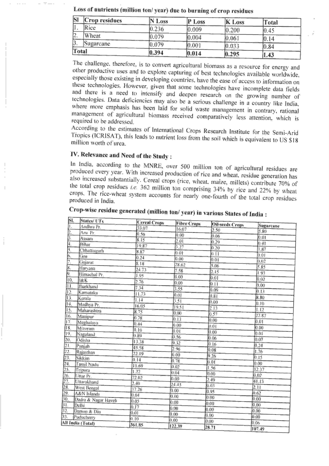| $\vert S \vert$ | Crop residues    | N Loss | P Loss | <b>K</b> Loss | Total |  |
|-----------------|------------------|--------|--------|---------------|-------|--|
|                 | Rice             | 0.236  | 0.009  | 0.200         | 0.45  |  |
| ız.             | Wheat            | J.079  | 0.004  | 0.061         |       |  |
| IJ              | <b>Sugarcane</b> | 0.079  | 0.001  | 0.033         | 0.84  |  |
| Total           |                  | 0.394  | 0.014  | 0.295         | 47    |  |

Loss of nutrients (million ton/year) due to burning of erop residues

The challenge, therefore, is to convert agricultural biomass as a resource for energy and other productive uses and to explore capturing of best technologies available worldwide, especially those existing in developing countries, have the ease of access to information on these technologies. However, given that some technologies have incomplete data fields and there is a need to intensify and deepen research on the growing number of technologies. Data deficiencies may also be a serious challenge in a country like India. where more emphasis has been laid for solid waste management in contrary, rational management of agricultural biomass received comparatively less attention, which is required to be addressed.

According to the estimates of International Crops Research Institute for the Semi-Arid Tropics (ICRISAT), this leads to nutrient loss from the soil which is equivalent to US \$18 million worth of urea.

# IV. Relevance and Need of the Study:

In India, according to the MNRE, over 500 million ton of agricultural residues are produced every year. With increased production of rice and wheat, residue generation has also increased substantially. Cereal crops (rice, wheat, maize, millets) contribute 70% of the total crop residues i.e. 362 million ton comprising 34% by rice and 22% by wheat crops. The rice-wheat system accounts for nearly one-fourth of the total crop residues produced in India.

| SI.              | States/UTs                    | <b>Cereal Crops</b> | <b>Fibre Crops</b> | <b>Oil-seeds Crops</b> |           |
|------------------|-------------------------------|---------------------|--------------------|------------------------|-----------|
| ۱.               | Andhra Pr.                    | 33.07               | 16.07              | 2.50                   | Sugarcane |
| 2.               | Aru Pr.                       | 0.56                | 0.00               | 0.06                   | 5.80      |
| β.               | Assam                         | 8.15                | 2.01               | 0.29                   | 0.01      |
| 4.               | Bihar                         | 19.87               | 3.27               |                        | 0.41      |
| 5,               | <b>Chhattisgarh</b>           | 8.87                | 0.01               | 0.20                   | 1.87      |
| 6.               | Goa                           | 0.24                | 0.00               | 0.11                   | 0.01      |
| Þ.               | Guiarat                       | 8.18                | 28.62              | 0.01                   | 0.02      |
| ß.               | Haryana                       | 24.73               | 7.58               | 5.06                   | 5.85      |
| 9.               | Himachal Pr.                  | 1.95                | 0.00               | 2.15                   | 1.93      |
| 10.              | J&K                           | 2.76                |                    | 0.01                   | 0.02      |
| 11.              | Jharkhand                     | 7.34                | 0.00               | 0.11                   | 0.00      |
| 12.              | Karnataka                     | 11.73               | 3.55               | 0.09                   | 0,13      |
| I3.              | Kerala                        | 1.14                | 0.01               | 0.81                   | 8.80      |
| 14.              | Madhya Pr.                    |                     | 3.51               | 0.00                   | 0.10      |
| 15.              | Maharashtra                   | 16.05<br>8.75       | 19,51              | 2.13                   | 1.12      |
| 16.              | Manipur                       |                     | 0.00               | 0.57                   | 22.87     |
| $\overline{17}$  | Meghalaya                     | 0.78                | 0.13               | 0.00                   | 0.01      |
| 18.              | Mizoram                       | 0.44                | 0.00               | 0.01                   | 0.00      |
| 19.              | Nagaland                      | 0.10                | 0.01               | 0.00                   | 0.01      |
|                  | Odisha                        | 0.89                | 0.56               | 0.06                   | 0.07      |
| $\frac{20}{21}$  | Punjab                        | 13.38               | 9.32               | 0.16                   | 0.24      |
| 22.              | Rajasthan                     | 45.58               | 2.96               | 0.08                   | 1.76      |
| 23.              | Sikkim                        | 22.19               | 0.00               | 9.26                   | 0.15      |
| 24.              | Tamil Nadu                    | 0.14                | 0.78               | 0.01                   | 0.00      |
| 25.              | Tripura                       | 11.69               | 0,02               | 1.56                   | 12.37     |
| 26.              | Uttar Pr.                     | 1.22                | 0.04               | 0.00                   | 0.02      |
| 27.              | Uttarakhand                   | 72.02               | 0.00               | 2.49                   | 41.13     |
| 28.              | West Bengal                   | 2.40                | 24.43              | 0.03                   | 2.11      |
| 29.              | A&N Islands                   | 37.26               | 0.00               | 0.95                   | 0.62      |
| iÖ.              |                               | 0.04                | 0.00               | 0.00                   | 0.00      |
| Ц.               | Dadra & Nagar Haveli<br>Delhi | 0.05                | 0.00               | 0.00                   | 0.00      |
| $\overline{2}$ . | Daman & Diu                   | 0.17                | 0.00               | 0.00                   | 0.00      |
| 3 <sub>1</sub>   | Puducherry                    | 0.01                | 0.00               | 0.00                   | 0.00      |
|                  | Il India (Total)              | 0.10                | 0.00               | 0.00                   | 0.06      |
|                  |                               | 361.85              | 122.39             | 28.71                  | 107.10    |

Crop-wise residue generated (million ton/year) in various States of India :